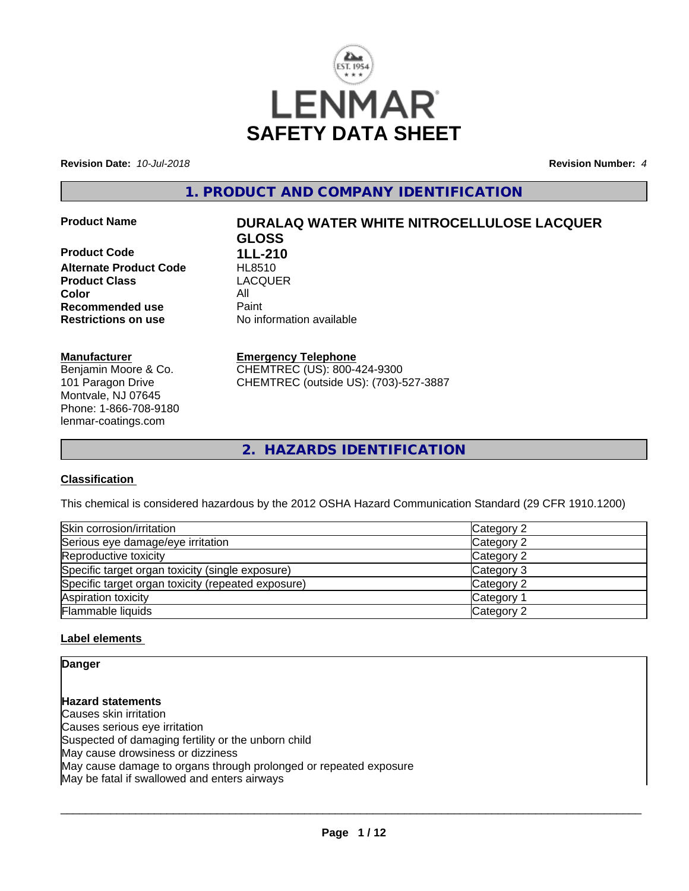

**Revision Date:** *10-Jul-2018* **Revision Number:** *4*

**1. PRODUCT AND COMPANY IDENTIFICATION**

**Product Code 1LL-210 Alternate Product Code HL8510**<br> **Product Class** LACQUER **Product Class Color** All **Recommended use** Paint<br> **Restrictions on use** Mo information available **Restrictions on use** 

**Manufacturer** Benjamin Moore & Co. 101 Paragon Drive Montvale, NJ 07645 Phone: 1-866-708-9180 lenmar-coatings.com

# **Product Name DURALAQ WATER WHITE NITROCELLULOSE LACQUER GLOSS**

#### **Emergency Telephone**

CHEMTREC (US): 800-424-9300 CHEMTREC (outside US): (703)-527-3887

**2. HAZARDS IDENTIFICATION**

## **Classification**

This chemical is considered hazardous by the 2012 OSHA Hazard Communication Standard (29 CFR 1910.1200)

| Skin corrosion/irritation                          | Category 2            |
|----------------------------------------------------|-----------------------|
| Serious eye damage/eye irritation                  | Category 2            |
| Reproductive toxicity                              | Category 2            |
| Specific target organ toxicity (single exposure)   | Category 3            |
| Specific target organ toxicity (repeated exposure) | Category 2            |
| Aspiration toxicity                                | Category <sup>2</sup> |
| Flammable liquids                                  | Category 2            |

#### **Label elements**

**Danger**

**Hazard statements** Causes skin irritation Causes serious eye irritation Suspected of damaging fertility or the unborn child May cause drowsiness or dizziness May cause damage to organs through prolonged or repeated exposure May be fatal if swallowed and enters airways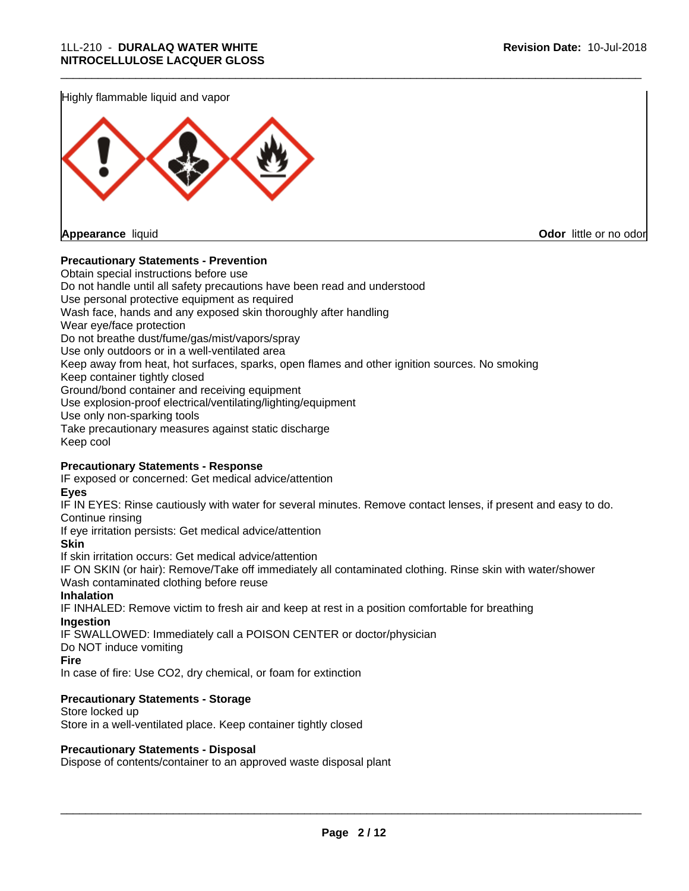Highly flammable liquid and vapor



**Appearance** liquid **Odor** little or no odor

#### **Precautionary Statements - Prevention**

Obtain special instructions before use Do not handle until all safety precautions have been read and understood Use personal protective equipment as required Wash face, hands and any exposed skin thoroughly after handling Wear eye/face protection Do not breathe dust/fume/gas/mist/vapors/spray Use only outdoors or in a well-ventilated area Keep away from heat, hot surfaces, sparks, open flames and other ignition sources. No smoking Keep container tightly closed Ground/bond container and receiving equipment Use explosion-proof electrical/ventilating/lighting/equipment Use only non-sparking tools Take precautionary measures against static discharge Keep cool

\_\_\_\_\_\_\_\_\_\_\_\_\_\_\_\_\_\_\_\_\_\_\_\_\_\_\_\_\_\_\_\_\_\_\_\_\_\_\_\_\_\_\_\_\_\_\_\_\_\_\_\_\_\_\_\_\_\_\_\_\_\_\_\_\_\_\_\_\_\_\_\_\_\_\_\_\_\_\_\_\_\_\_\_\_\_\_\_\_\_\_\_\_

#### **Precautionary Statements - Response**

IF exposed or concerned: Get medical advice/attention

**Eyes**

IF IN EYES: Rinse cautiously with water for several minutes. Remove contact lenses, if present and easy to do. Continue rinsing

If eye irritation persists: Get medical advice/attention

**Skin**

If skin irritation occurs: Get medical advice/attention

IF ON SKIN (or hair): Remove/Take off immediately all contaminated clothing. Rinse skin with water/shower Wash contaminated clothing before reuse

#### **Inhalation**

IF INHALED: Remove victim to fresh air and keep at rest in a position comfortable for breathing **Ingestion**

IF SWALLOWED: Immediately call a POISON CENTER or doctor/physician

Do NOT induce vomiting

**Fire**

In case of fire: Use CO2, dry chemical, or foam for extinction

#### **Precautionary Statements - Storage**

Store locked up Store in a well-ventilated place. Keep container tightly closed

#### **Precautionary Statements - Disposal**

Dispose of contents/container to an approved waste disposal plant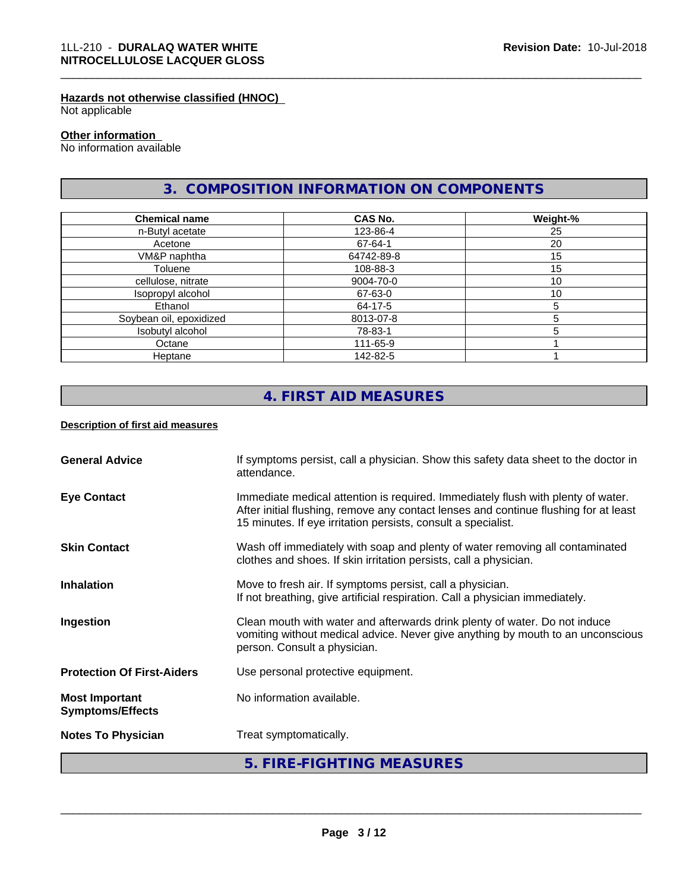#### **Hazards not otherwise classified (HNOC)**

Not applicable

#### **Other information**

No information available

# **3. COMPOSITION INFORMATION ON COMPONENTS**

\_\_\_\_\_\_\_\_\_\_\_\_\_\_\_\_\_\_\_\_\_\_\_\_\_\_\_\_\_\_\_\_\_\_\_\_\_\_\_\_\_\_\_\_\_\_\_\_\_\_\_\_\_\_\_\_\_\_\_\_\_\_\_\_\_\_\_\_\_\_\_\_\_\_\_\_\_\_\_\_\_\_\_\_\_\_\_\_\_\_\_\_\_

| <b>Chemical name</b>    | <b>CAS No.</b> | Weight-% |
|-------------------------|----------------|----------|
| n-Butyl acetate         | 123-86-4       | 25       |
| Acetone                 | 67-64-1        | 20       |
| VM&P naphtha            | 64742-89-8     | 15       |
| Toluene                 | 108-88-3       | 15       |
| cellulose, nitrate      | 9004-70-0      | 10       |
| Isopropyl alcohol       | 67-63-0        | 10       |
| Ethanol                 | 64-17-5        | 5        |
| Soybean oil, epoxidized | 8013-07-8      |          |
| Isobutyl alcohol        | 78-83-1        |          |
| Octane                  | 111-65-9       |          |
| Heptane                 | 142-82-5       |          |

# **4. FIRST AID MEASURES**

#### **Description of first aid measures**

| <b>General Advice</b>                            | If symptoms persist, call a physician. Show this safety data sheet to the doctor in<br>attendance.                                                                                                                                        |
|--------------------------------------------------|-------------------------------------------------------------------------------------------------------------------------------------------------------------------------------------------------------------------------------------------|
| <b>Eye Contact</b>                               | Immediate medical attention is required. Immediately flush with plenty of water.<br>After initial flushing, remove any contact lenses and continue flushing for at least<br>15 minutes. If eye irritation persists, consult a specialist. |
| <b>Skin Contact</b>                              | Wash off immediately with soap and plenty of water removing all contaminated<br>clothes and shoes. If skin irritation persists, call a physician.                                                                                         |
| <b>Inhalation</b>                                | Move to fresh air. If symptoms persist, call a physician.<br>If not breathing, give artificial respiration. Call a physician immediately.                                                                                                 |
| Ingestion                                        | Clean mouth with water and afterwards drink plenty of water. Do not induce<br>vomiting without medical advice. Never give anything by mouth to an unconscious<br>person. Consult a physician.                                             |
| <b>Protection Of First-Aiders</b>                | Use personal protective equipment.                                                                                                                                                                                                        |
| <b>Most Important</b><br><b>Symptoms/Effects</b> | No information available.                                                                                                                                                                                                                 |
| <b>Notes To Physician</b>                        | Treat symptomatically.                                                                                                                                                                                                                    |
|                                                  | 5. FIRE-FIGHTING MEASURES                                                                                                                                                                                                                 |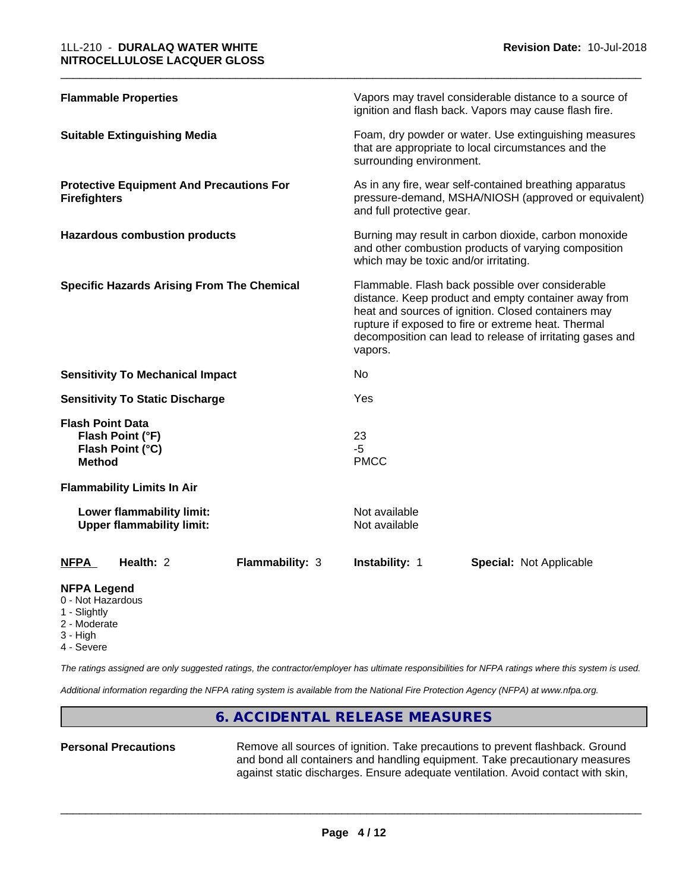| <b>Flammable Properties</b>                                                      | Vapors may travel considerable distance to a source of<br>ignition and flash back. Vapors may cause flash fire.                                                                                                                                                                                |  |
|----------------------------------------------------------------------------------|------------------------------------------------------------------------------------------------------------------------------------------------------------------------------------------------------------------------------------------------------------------------------------------------|--|
| <b>Suitable Extinguishing Media</b>                                              | Foam, dry powder or water. Use extinguishing measures<br>that are appropriate to local circumstances and the<br>surrounding environment.                                                                                                                                                       |  |
| <b>Protective Equipment And Precautions For</b><br><b>Firefighters</b>           | As in any fire, wear self-contained breathing apparatus<br>pressure-demand, MSHA/NIOSH (approved or equivalent)<br>and full protective gear.                                                                                                                                                   |  |
| <b>Hazardous combustion products</b>                                             | Burning may result in carbon dioxide, carbon monoxide<br>and other combustion products of varying composition<br>which may be toxic and/or irritating.                                                                                                                                         |  |
| <b>Specific Hazards Arising From The Chemical</b>                                | Flammable. Flash back possible over considerable<br>distance. Keep product and empty container away from<br>heat and sources of ignition. Closed containers may<br>rupture if exposed to fire or extreme heat. Thermal<br>decomposition can lead to release of irritating gases and<br>vapors. |  |
| <b>Sensitivity To Mechanical Impact</b>                                          | No.                                                                                                                                                                                                                                                                                            |  |
| <b>Sensitivity To Static Discharge</b>                                           | Yes                                                                                                                                                                                                                                                                                            |  |
| <b>Flash Point Data</b><br>Flash Point (°F)<br>Flash Point (°C)<br><b>Method</b> | 23<br>$-5$<br><b>PMCC</b>                                                                                                                                                                                                                                                                      |  |
| <b>Flammability Limits In Air</b>                                                |                                                                                                                                                                                                                                                                                                |  |
| Lower flammability limit:<br><b>Upper flammability limit:</b>                    | Not available<br>Not available                                                                                                                                                                                                                                                                 |  |
| Health: 2<br><b>Flammability: 3</b><br><b>NFPA</b>                               | <b>Instability: 1</b><br><b>Special: Not Applicable</b>                                                                                                                                                                                                                                        |  |
|                                                                                  |                                                                                                                                                                                                                                                                                                |  |

\_\_\_\_\_\_\_\_\_\_\_\_\_\_\_\_\_\_\_\_\_\_\_\_\_\_\_\_\_\_\_\_\_\_\_\_\_\_\_\_\_\_\_\_\_\_\_\_\_\_\_\_\_\_\_\_\_\_\_\_\_\_\_\_\_\_\_\_\_\_\_\_\_\_\_\_\_\_\_\_\_\_\_\_\_\_\_\_\_\_\_\_\_

#### **NFPA Legend**

- 0 Not Hazardous
- 1 Slightly
- 2 Moderate
- 3 High
- 4 Severe

*The ratings assigned are only suggested ratings, the contractor/employer has ultimate responsibilities for NFPA ratings where this system is used.*

*Additional information regarding the NFPA rating system is available from the National Fire Protection Agency (NFPA) at www.nfpa.org.*

## **6. ACCIDENTAL RELEASE MEASURES**

Personal Precautions **Remove all sources of ignition.** Take precautions to prevent flashback. Ground and bond all containers and handling equipment. Take precautionary measures against static discharges. Ensure adequate ventilation. Avoid contact with skin,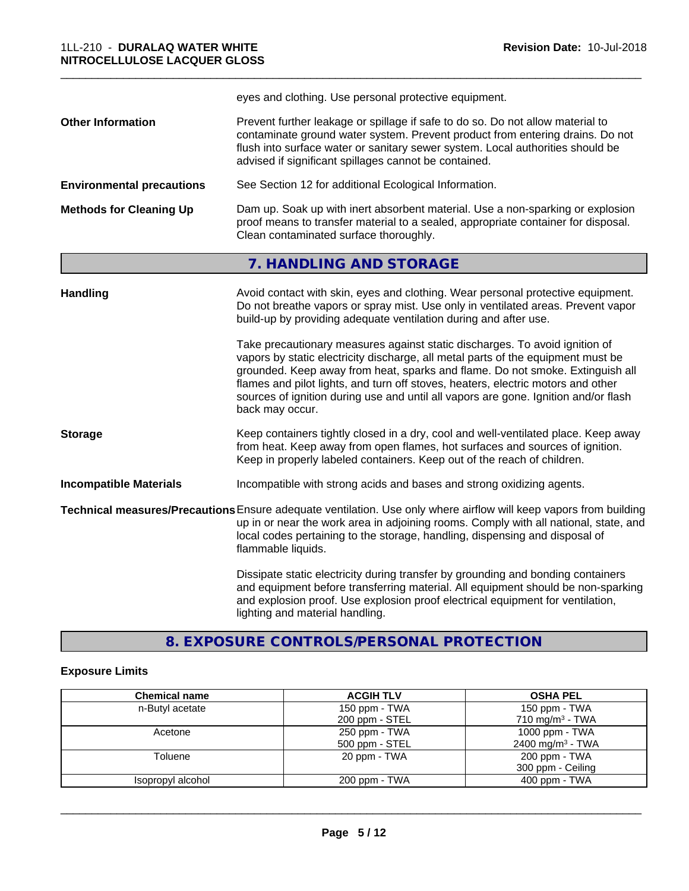|                                  | eyes and clothing. Use personal protective equipment.                                                                                                                                                                                                                                                                                                                                                                                                                                                                                                                                                                                                                                     |
|----------------------------------|-------------------------------------------------------------------------------------------------------------------------------------------------------------------------------------------------------------------------------------------------------------------------------------------------------------------------------------------------------------------------------------------------------------------------------------------------------------------------------------------------------------------------------------------------------------------------------------------------------------------------------------------------------------------------------------------|
| <b>Other Information</b>         | Prevent further leakage or spillage if safe to do so. Do not allow material to<br>contaminate ground water system. Prevent product from entering drains. Do not<br>flush into surface water or sanitary sewer system. Local authorities should be<br>advised if significant spillages cannot be contained.                                                                                                                                                                                                                                                                                                                                                                                |
| <b>Environmental precautions</b> | See Section 12 for additional Ecological Information.                                                                                                                                                                                                                                                                                                                                                                                                                                                                                                                                                                                                                                     |
| <b>Methods for Cleaning Up</b>   | Dam up. Soak up with inert absorbent material. Use a non-sparking or explosion<br>proof means to transfer material to a sealed, appropriate container for disposal.<br>Clean contaminated surface thoroughly.                                                                                                                                                                                                                                                                                                                                                                                                                                                                             |
|                                  | 7. HANDLING AND STORAGE                                                                                                                                                                                                                                                                                                                                                                                                                                                                                                                                                                                                                                                                   |
| <b>Handling</b>                  | Avoid contact with skin, eyes and clothing. Wear personal protective equipment.<br>Do not breathe vapors or spray mist. Use only in ventilated areas. Prevent vapor<br>build-up by providing adequate ventilation during and after use.<br>Take precautionary measures against static discharges. To avoid ignition of<br>vapors by static electricity discharge, all metal parts of the equipment must be<br>grounded. Keep away from heat, sparks and flame. Do not smoke. Extinguish all<br>flames and pilot lights, and turn off stoves, heaters, electric motors and other<br>sources of ignition during use and until all vapors are gone. Ignition and/or flash<br>back may occur. |
| <b>Storage</b>                   | Keep containers tightly closed in a dry, cool and well-ventilated place. Keep away                                                                                                                                                                                                                                                                                                                                                                                                                                                                                                                                                                                                        |
|                                  | from heat. Keep away from open flames, hot surfaces and sources of ignition.<br>Keep in properly labeled containers. Keep out of the reach of children.                                                                                                                                                                                                                                                                                                                                                                                                                                                                                                                                   |
| <b>Incompatible Materials</b>    | Incompatible with strong acids and bases and strong oxidizing agents.                                                                                                                                                                                                                                                                                                                                                                                                                                                                                                                                                                                                                     |

\_\_\_\_\_\_\_\_\_\_\_\_\_\_\_\_\_\_\_\_\_\_\_\_\_\_\_\_\_\_\_\_\_\_\_\_\_\_\_\_\_\_\_\_\_\_\_\_\_\_\_\_\_\_\_\_\_\_\_\_\_\_\_\_\_\_\_\_\_\_\_\_\_\_\_\_\_\_\_\_\_\_\_\_\_\_\_\_\_\_\_\_\_

**Technical measures/Precautions**Ensure adequate ventilation. Use only where airflow will keep vapors from building up in or near the work area in adjoining rooms. Comply with all national, state, and local codes pertaining to the storage, handling, dispensing and disposal of flammable liquids.

> Dissipate static electricity during transfer by grounding and bonding containers and equipment before transferring material. All equipment should be non-sparking and explosion proof. Use explosion proof electrical equipment for ventilation, lighting and material handling.

**8. EXPOSURE CONTROLS/PERSONAL PROTECTION**

#### **Exposure Limits**

| <b>Chemical name</b> | <b>ACGIH TLV</b> | <b>OSHA PEL</b>              |
|----------------------|------------------|------------------------------|
| n-Butyl acetate      | 150 ppm - TWA    | 150 ppm - TWA                |
|                      | 200 ppm - STEL   | 710 mg/m <sup>3</sup> - TWA  |
| Acetone              | 250 ppm - TWA    | 1000 ppm - TWA               |
|                      | 500 ppm - STEL   | 2400 mg/m <sup>3</sup> - TWA |
| Toluene              | 20 ppm - TWA     | 200 ppm - TWA                |
|                      |                  | 300 ppm - Ceiling            |
| Isopropyl alcohol    | 200 ppm - TWA    | $400$ ppm - TWA              |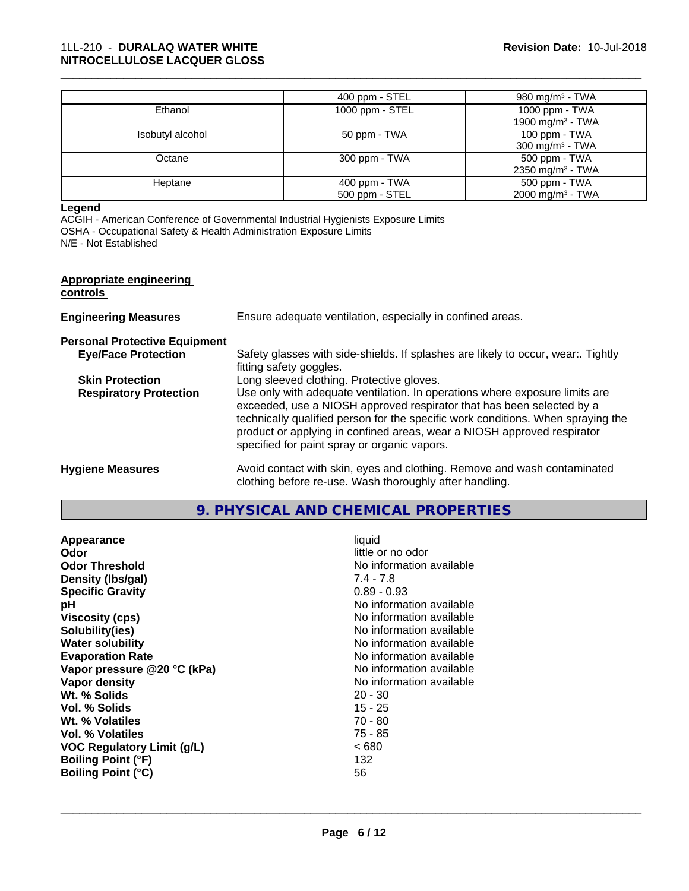|                  | 400 ppm - STEL  | 980 mg/m <sup>3</sup> - TWA  |
|------------------|-----------------|------------------------------|
| Ethanol          | 1000 ppm - STEL | 1000 ppm - TWA               |
|                  |                 | 1900 mg/m <sup>3</sup> - TWA |
| Isobutyl alcohol | 50 ppm - TWA    | 100 ppm - TWA                |
|                  |                 | $300 \text{ mg/m}^3$ - TWA   |
| Octane           | 300 ppm - TWA   | 500 ppm - TWA                |
|                  |                 | 2350 mg/m <sup>3</sup> - TWA |
| Heptane          | $400$ ppm - TWA | 500 ppm - TWA                |
|                  | 500 ppm - STEL  | 2000 mg/m <sup>3</sup> - TWA |

\_\_\_\_\_\_\_\_\_\_\_\_\_\_\_\_\_\_\_\_\_\_\_\_\_\_\_\_\_\_\_\_\_\_\_\_\_\_\_\_\_\_\_\_\_\_\_\_\_\_\_\_\_\_\_\_\_\_\_\_\_\_\_\_\_\_\_\_\_\_\_\_\_\_\_\_\_\_\_\_\_\_\_\_\_\_\_\_\_\_\_\_\_

#### **Legend**

ACGIH - American Conference of Governmental Industrial Hygienists Exposure Limits OSHA - Occupational Safety & Health Administration Exposure Limits N/E - Not Established

#### **Appropriate engineering**

#### **controls**

| Ensure adequate ventilation, especially in confined areas.<br><b>Engineering Measures</b> |  |
|-------------------------------------------------------------------------------------------|--|
|-------------------------------------------------------------------------------------------|--|

# **Personal Protective Equipment**

| <b>Eye/Face Protection</b>    | Safety glasses with side-shields. If splashes are likely to occur, wear Tightly                                                                             |
|-------------------------------|-------------------------------------------------------------------------------------------------------------------------------------------------------------|
|                               | fitting safety goggles.                                                                                                                                     |
| <b>Skin Protection</b>        | Long sleeved clothing. Protective gloves.                                                                                                                   |
| <b>Respiratory Protection</b> | Use only with adequate ventilation. In operations where exposure limits are                                                                                 |
|                               | exceeded, use a NIOSH approved respirator that has been selected by a                                                                                       |
|                               | technically qualified person for the specific work conditions. When spraying the<br>product or applying in confined areas, wear a NIOSH approved respirator |
|                               | specified for paint spray or organic vapors.                                                                                                                |
| <b>Hygiene Measures</b>       | Avoid contact with skin, eyes and clothing. Remove and wash contaminated                                                                                    |

# clothing before re-use. Wash thoroughly after handling.

| 9. PHYSICAL AND CHEMICAL PROPERTIES |  |
|-------------------------------------|--|
|-------------------------------------|--|

| Appearance                        | liquid                   |
|-----------------------------------|--------------------------|
| <b>Odor</b>                       | little or no odor        |
| <b>Odor Threshold</b>             | No information available |
| Density (Ibs/gal)                 | $7.4 - 7.8$              |
| <b>Specific Gravity</b>           | $0.89 - 0.93$            |
| рH                                | No information available |
| Viscosity (cps)                   | No information available |
| Solubility(ies)                   | No information available |
| <b>Water solubility</b>           | No information available |
| <b>Evaporation Rate</b>           | No information available |
| Vapor pressure @20 °C (kPa)       | No information available |
| Vapor density                     | No information available |
| Wt. % Solids                      | $20 - 30$                |
| Vol. % Solids                     | $15 - 25$                |
| Wt. % Volatiles                   | $70 - 80$                |
| Vol. % Volatiles                  | 75 - 85                  |
| <b>VOC Regulatory Limit (g/L)</b> | ~< 680                   |
| <b>Boiling Point (°F)</b>         | 132                      |
| <b>Boiling Point (°C)</b>         | 56                       |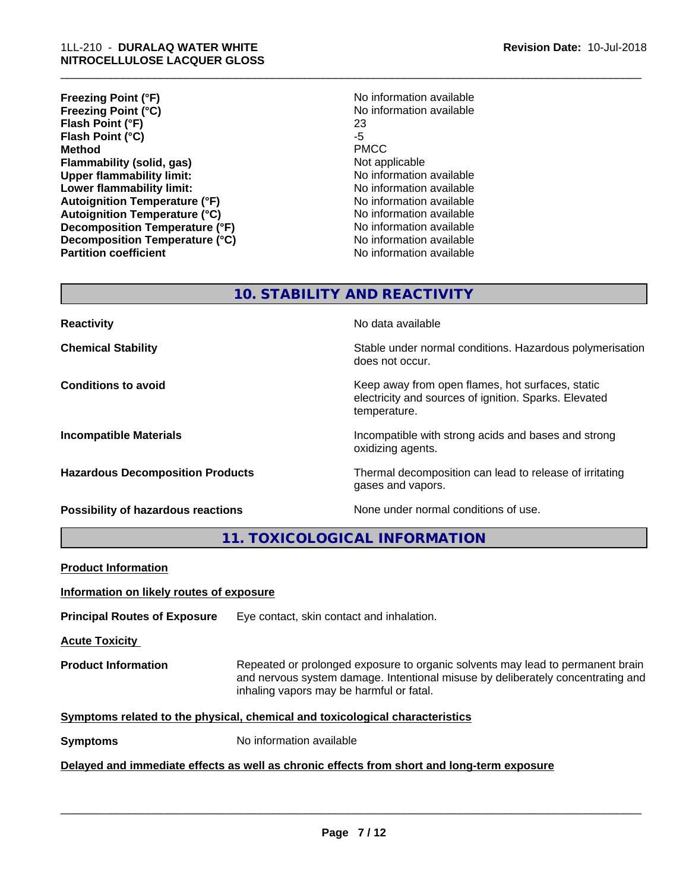| <b>Freezing Point (°F)</b>           | No information available |
|--------------------------------------|--------------------------|
| <b>Freezing Point (°C)</b>           | No information available |
| Flash Point (°F)                     | 23                       |
| Flash Point (°C)                     | -5                       |
| <b>Method</b>                        | <b>PMCC</b>              |
| Flammability (solid, gas)            | Not applicable           |
| <b>Upper flammability limit:</b>     | No information available |
| Lower flammability limit:            | No information available |
| <b>Autoignition Temperature (°F)</b> | No information available |
| <b>Autoignition Temperature (°C)</b> | No information available |
| Decomposition Temperature (°F)       | No information available |
| Decomposition Temperature (°C)       | No information available |
| <b>Partition coefficient</b>         | No information available |

\_\_\_\_\_\_\_\_\_\_\_\_\_\_\_\_\_\_\_\_\_\_\_\_\_\_\_\_\_\_\_\_\_\_\_\_\_\_\_\_\_\_\_\_\_\_\_\_\_\_\_\_\_\_\_\_\_\_\_\_\_\_\_\_\_\_\_\_\_\_\_\_\_\_\_\_\_\_\_\_\_\_\_\_\_\_\_\_\_\_\_\_\_

# **10. STABILITY AND REACTIVITY**

**Possibility of hazardous reactions** None under normal conditions of use.

**Reactivity No data available No data available** 

**Chemical Stability Stability** Stable under normal conditions. Hazardous polymerisation does not occur.

**Conditions to avoid** Conditions **to avoid** Keep away from open flames, hot surfaces, static electricity and sources of ignition. Sparks. Elevated temperature.

**Incompatible Materials Incompatible with strong acids and bases and strong** oxidizing agents.

**Hazardous Decomposition Products** Thermal decomposition can lead to release of irritating gases and vapors.

**11. TOXICOLOGICAL INFORMATION**

| <b>Product Information</b>                                                                 |                                                                                                                                                                                                               |  |
|--------------------------------------------------------------------------------------------|---------------------------------------------------------------------------------------------------------------------------------------------------------------------------------------------------------------|--|
| Information on likely routes of exposure                                                   |                                                                                                                                                                                                               |  |
| <b>Principal Routes of Exposure</b>                                                        | Eye contact, skin contact and inhalation.                                                                                                                                                                     |  |
| <b>Acute Toxicity</b>                                                                      |                                                                                                                                                                                                               |  |
| <b>Product Information</b>                                                                 | Repeated or prolonged exposure to organic solvents may lead to permanent brain<br>and nervous system damage. Intentional misuse by deliberately concentrating and<br>inhaling vapors may be harmful or fatal. |  |
|                                                                                            | Symptoms related to the physical, chemical and toxicological characteristics                                                                                                                                  |  |
| <b>Symptoms</b>                                                                            | No information available                                                                                                                                                                                      |  |
| Delayed and immediate effects as well as chronic effects from short and long-term exposure |                                                                                                                                                                                                               |  |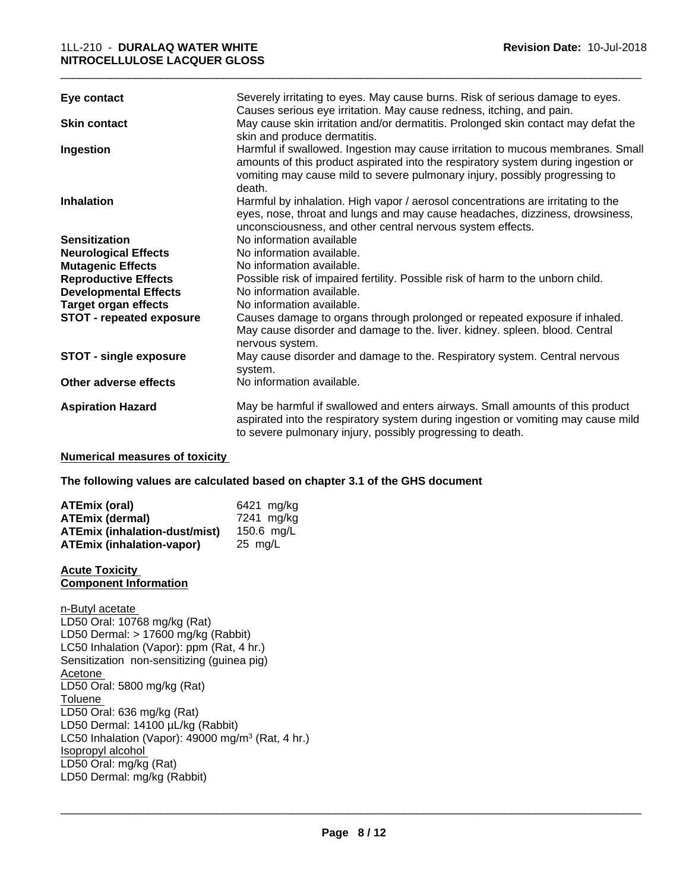#### 1LL-210 - **DURALAQ WATER WHITE NITROCELLULOSE LACQUER GLOSS**

| Eye contact                           | Severely irritating to eyes. May cause burns. Risk of serious damage to eyes.<br>Causes serious eye irritation. May cause redness, itching, and pain.                                                                                                         |
|---------------------------------------|---------------------------------------------------------------------------------------------------------------------------------------------------------------------------------------------------------------------------------------------------------------|
| <b>Skin contact</b>                   | May cause skin irritation and/or dermatitis. Prolonged skin contact may defat the<br>skin and produce dermatitis.                                                                                                                                             |
| Ingestion                             | Harmful if swallowed. Ingestion may cause irritation to mucous membranes. Small<br>amounts of this product aspirated into the respiratory system during ingestion or<br>vomiting may cause mild to severe pulmonary injury, possibly progressing to<br>death. |
| <b>Inhalation</b>                     | Harmful by inhalation. High vapor / aerosol concentrations are irritating to the<br>eyes, nose, throat and lungs and may cause headaches, dizziness, drowsiness,<br>unconsciousness, and other central nervous system effects.                                |
| <b>Sensitization</b>                  | No information available                                                                                                                                                                                                                                      |
| <b>Neurological Effects</b>           | No information available.                                                                                                                                                                                                                                     |
| <b>Mutagenic Effects</b>              | No information available.                                                                                                                                                                                                                                     |
| <b>Reproductive Effects</b>           | Possible risk of impaired fertility. Possible risk of harm to the unborn child.                                                                                                                                                                               |
| <b>Developmental Effects</b>          | No information available.                                                                                                                                                                                                                                     |
| <b>Target organ effects</b>           | No information available.                                                                                                                                                                                                                                     |
| <b>STOT - repeated exposure</b>       | Causes damage to organs through prolonged or repeated exposure if inhaled.<br>May cause disorder and damage to the. liver. kidney. spleen. blood. Central<br>nervous system.                                                                                  |
| <b>STOT - single exposure</b>         | May cause disorder and damage to the. Respiratory system. Central nervous<br>system.                                                                                                                                                                          |
| Other adverse effects                 | No information available.                                                                                                                                                                                                                                     |
| <b>Aspiration Hazard</b>              | May be harmful if swallowed and enters airways. Small amounts of this product<br>aspirated into the respiratory system during ingestion or vomiting may cause mild<br>to severe pulmonary injury, possibly progressing to death.                              |
| <b>Numerical measures of toxicity</b> |                                                                                                                                                                                                                                                               |
|                                       |                                                                                                                                                                                                                                                               |

\_\_\_\_\_\_\_\_\_\_\_\_\_\_\_\_\_\_\_\_\_\_\_\_\_\_\_\_\_\_\_\_\_\_\_\_\_\_\_\_\_\_\_\_\_\_\_\_\_\_\_\_\_\_\_\_\_\_\_\_\_\_\_\_\_\_\_\_\_\_\_\_\_\_\_\_\_\_\_\_\_\_\_\_\_\_\_\_\_\_\_\_\_

**The following values are calculated based on chapter 3.1 of the GHS document**

| <b>ATEmix (oral)</b>                 | 6421 mg/kg        |
|--------------------------------------|-------------------|
| <b>ATEmix (dermal)</b>               | 7241 ma/ka        |
| <b>ATEmix (inhalation-dust/mist)</b> | 150.6 $mg/L$      |
| <b>ATEmix (inhalation-vapor)</b>     | $25 \text{ mg/L}$ |

#### **Acute Toxicity Component Information**

n-Butyl acetate LD50 Oral: 10768 mg/kg (Rat) LD50 Dermal: > 17600 mg/kg (Rabbit) LC50 Inhalation (Vapor): ppm (Rat, 4 hr.) Sensitization non-sensitizing (guinea pig) Acetone LD50 Oral: 5800 mg/kg (Rat) Toluene LD50 Oral: 636 mg/kg (Rat) LD50 Dermal: 14100 µL/kg (Rabbit) LC50 Inhalation (Vapor): 49000 mg/m<sup>3</sup> (Rat, 4 hr.) Isopropyl alcohol LD50 Oral: mg/kg (Rat) LD50 Dermal: mg/kg (Rabbit)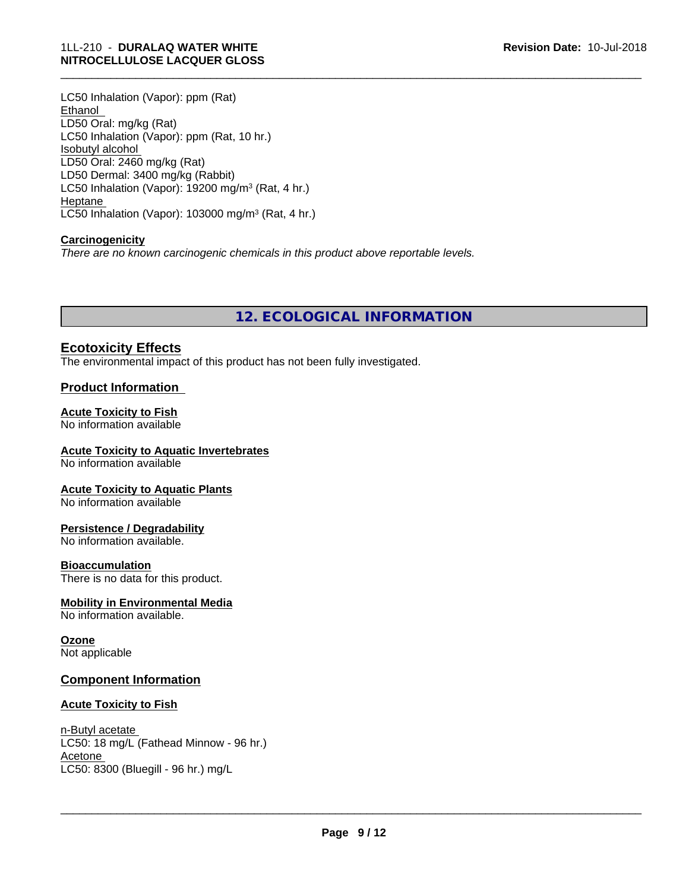LC50 Inhalation (Vapor): ppm (Rat) Ethanol LD50 Oral: mg/kg (Rat) LC50 Inhalation (Vapor): ppm (Rat, 10 hr.) Isobutyl alcohol LD50 Oral: 2460 mg/kg (Rat) LD50 Dermal: 3400 mg/kg (Rabbit) LC50 Inhalation (Vapor): 19200 mg/m<sup>3</sup> (Rat, 4 hr.) Heptane LC50 Inhalation (Vapor): 103000 mg/m<sup>3</sup> (Rat, 4 hr.)

#### **Carcinogenicity**

*There are no known carcinogenic chemicals in this product above reportable levels.*

**12. ECOLOGICAL INFORMATION**

## **Ecotoxicity Effects**

The environmental impact of this product has not been fully investigated.

#### **Product Information**

#### **Acute Toxicity to Fish**

No information available

#### **Acute Toxicity to Aquatic Invertebrates**

No information available

#### **Acute Toxicity to Aquatic Plants**

No information available

#### **Persistence / Degradability**

No information available.

#### **Bioaccumulation**

There is no data for this product.

#### **Mobility in Environmental Media**

No information available.

#### **Ozone**

Not applicable

#### **Component Information**

#### **Acute Toxicity to Fish**

#### n-Butyl acetate LC50: 18 mg/L (Fathead Minnow - 96 hr.) Acetone LC50: 8300 (Bluegill - 96 hr.) mg/L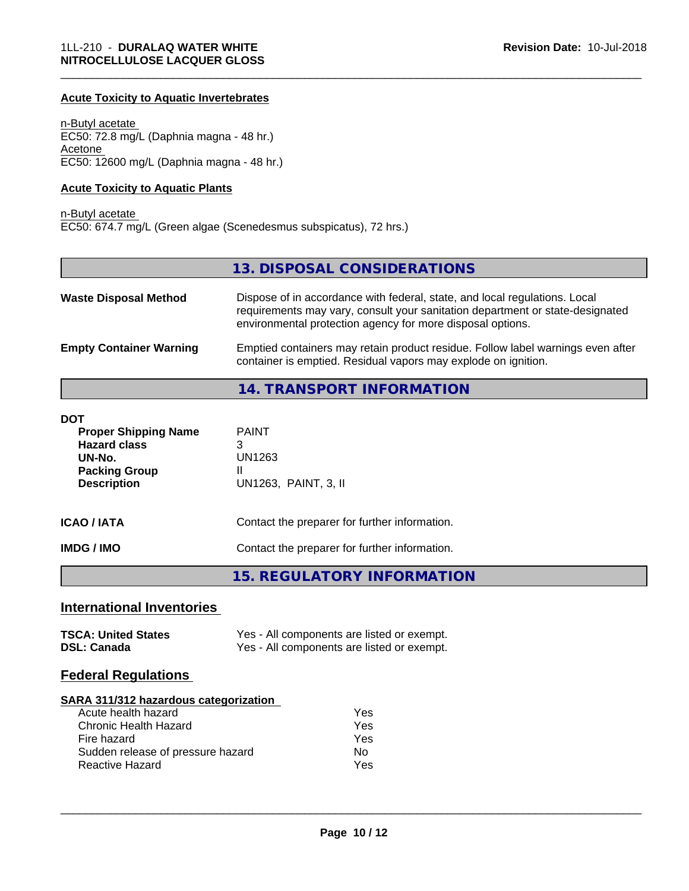#### **Acute Toxicity to Aquatic Invertebrates**

n-Butyl acetate EC50: 72.8 mg/L (Daphnia magna - 48 hr.) Acetone EC50: 12600 mg/L (Daphnia magna - 48 hr.)

#### **Acute Toxicity to Aquatic Plants**

#### n-Butyl acetate EC50: 674.7 mg/L (Green algae (Scenedesmus subspicatus), 72 hrs.)

## **13. DISPOSAL CONSIDERATIONS**

\_\_\_\_\_\_\_\_\_\_\_\_\_\_\_\_\_\_\_\_\_\_\_\_\_\_\_\_\_\_\_\_\_\_\_\_\_\_\_\_\_\_\_\_\_\_\_\_\_\_\_\_\_\_\_\_\_\_\_\_\_\_\_\_\_\_\_\_\_\_\_\_\_\_\_\_\_\_\_\_\_\_\_\_\_\_\_\_\_\_\_\_\_

| <b>Waste Disposal Method</b>   | Dispose of in accordance with federal, state, and local regulations. Local<br>requirements may vary, consult your sanitation department or state-designated<br>environmental protection agency for more disposal options. |
|--------------------------------|---------------------------------------------------------------------------------------------------------------------------------------------------------------------------------------------------------------------------|
| <b>Empty Container Warning</b> | Emptied containers may retain product residue. Follow label warnings even after<br>container is emptied. Residual vapors may explode on ignition.                                                                         |

## **14. TRANSPORT INFORMATION**

| <b>DOT</b><br><b>Proper Shipping Name</b><br><b>Hazard class</b><br>UN-No.<br><b>Packing Group</b><br><b>Description</b> | <b>PAINT</b><br>3<br>UN1263<br>Ш<br>UN1263, PAINT, 3, II |
|--------------------------------------------------------------------------------------------------------------------------|----------------------------------------------------------|
| <b>ICAO/IATA</b>                                                                                                         | Contact the preparer for further information.            |
| <b>IMDG/IMO</b>                                                                                                          | Contact the preparer for further information.            |
|                                                                                                                          | <b>15. REGULATORY INFORMATION</b>                        |

## **International Inventories**

| <b>TSCA: United States</b> | Yes - All components are listed or exempt. |
|----------------------------|--------------------------------------------|
| <b>DSL: Canada</b>         | Yes - All components are listed or exempt. |

#### **Federal Regulations**

#### **SARA 311/312 hazardous categorization**

| Acute health hazard               | Yes |
|-----------------------------------|-----|
| Chronic Health Hazard             | Yes |
| Fire hazard                       | Yes |
| Sudden release of pressure hazard | N٥  |
| Reactive Hazard                   | Yes |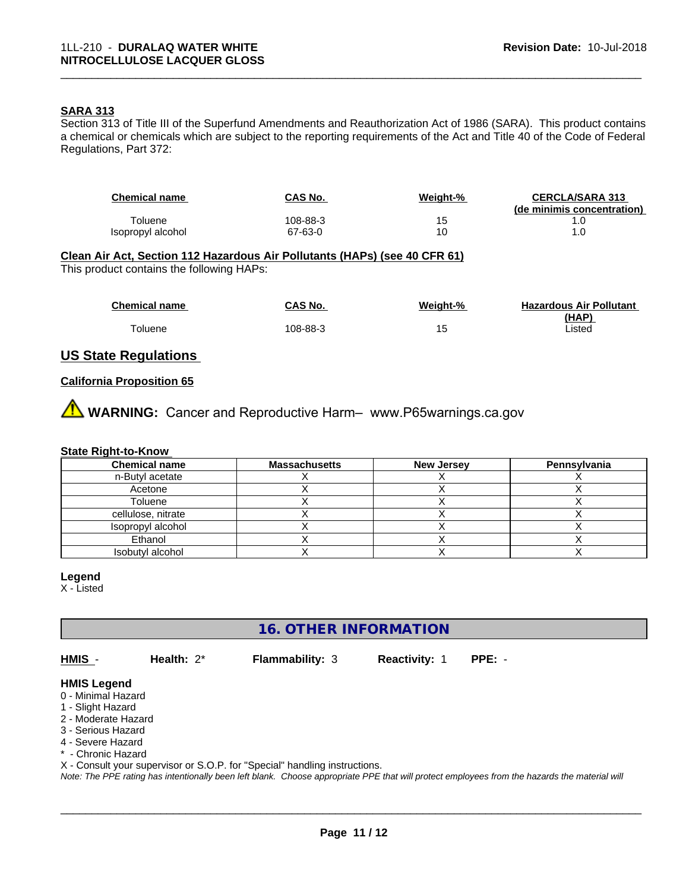#### **SARA 313**

Section 313 of Title III of the Superfund Amendments and Reauthorization Act of 1986 (SARA). This product contains a chemical or chemicals which are subject to the reporting requirements of the Act and Title 40 of the Code of Federal Regulations, Part 372:

| <b>Chemical name</b> | CAS No.  | Weight-% | <b>CERCLA/SARA 313</b><br>(de minimis concentration) |
|----------------------|----------|----------|------------------------------------------------------|
| Toluene              | 108-88-3 | 15       | . .U                                                 |
| Isopropyl alcohol    | 67-63-0  | 10       | . .U                                                 |

\_\_\_\_\_\_\_\_\_\_\_\_\_\_\_\_\_\_\_\_\_\_\_\_\_\_\_\_\_\_\_\_\_\_\_\_\_\_\_\_\_\_\_\_\_\_\_\_\_\_\_\_\_\_\_\_\_\_\_\_\_\_\_\_\_\_\_\_\_\_\_\_\_\_\_\_\_\_\_\_\_\_\_\_\_\_\_\_\_\_\_\_\_

#### **Clean Air Act,Section 112 Hazardous Air Pollutants (HAPs) (see 40 CFR 61)**

This product contains the following HAPs:

| <b>Chemical name</b> | CAS No.  | Weight-% | <b>Hazardous Air Pollutant</b> |
|----------------------|----------|----------|--------------------------------|
|                      |          |          | (HAP)                          |
| oluene               | 108-88-3 | l ə      | isted                          |

#### **US State Regulations**

#### **California Proposition 65**

**A WARNING:** Cancer and Reproductive Harm– www.P65warnings.ca.gov

#### **State Right-to-Know**

| <b>Chemical name</b> | <b>Massachusetts</b> | <b>New Jersey</b> | Pennsylvania |
|----------------------|----------------------|-------------------|--------------|
| n-Butyl acetate      |                      |                   |              |
| Acetone              |                      |                   |              |
| Toluene              |                      |                   |              |
| cellulose, nitrate   |                      |                   |              |
| Isopropyl alcohol    |                      |                   |              |
| Ethanol              |                      |                   |              |
| Isobutyl alcohol     |                      |                   |              |

#### **Legend**

X - Listed

**16. OTHER INFORMATION**

**HMIS** - **Health:** 2\* **Flammability:** 3 **Reactivity:** 1 **PPE:** -

 $\overline{\phantom{a}}$  ,  $\overline{\phantom{a}}$  ,  $\overline{\phantom{a}}$  ,  $\overline{\phantom{a}}$  ,  $\overline{\phantom{a}}$  ,  $\overline{\phantom{a}}$  ,  $\overline{\phantom{a}}$  ,  $\overline{\phantom{a}}$  ,  $\overline{\phantom{a}}$  ,  $\overline{\phantom{a}}$  ,  $\overline{\phantom{a}}$  ,  $\overline{\phantom{a}}$  ,  $\overline{\phantom{a}}$  ,  $\overline{\phantom{a}}$  ,  $\overline{\phantom{a}}$  ,  $\overline{\phantom{a}}$ 

#### **HMIS Legend**

- 0 Minimal Hazard
- 1 Slight Hazard
- 2 Moderate Hazard
- 3 Serious Hazard
- 4 Severe Hazard
- \* Chronic Hazard
- X Consult your supervisor or S.O.P. for "Special" handling instructions.

*Note: The PPE rating has intentionally been left blank. Choose appropriate PPE that will protect employees from the hazards the material will*